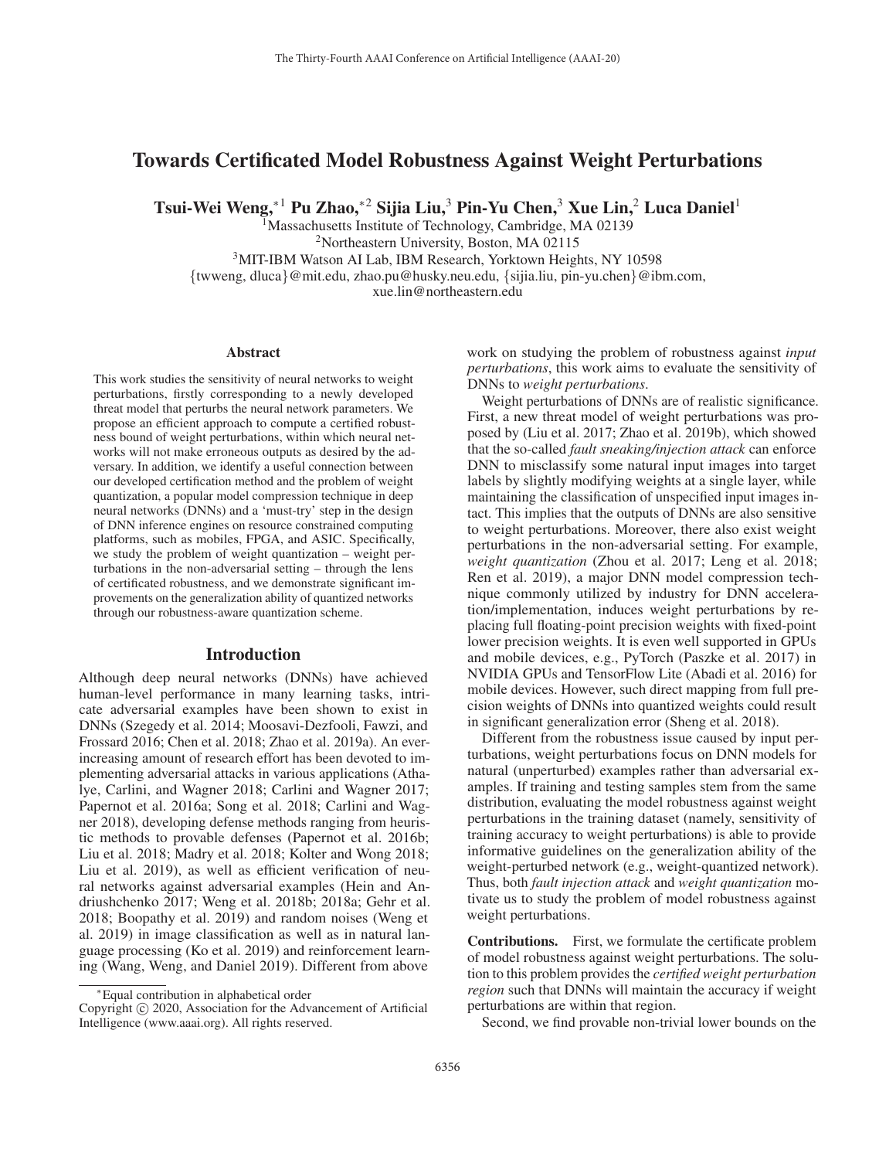# Towards Certificated Model Robustness Against Weight Perturbations

Tsui-Wei Weng,<sup>∗1</sup> Pu Zhao,<sup>∗2</sup> Sijia Liu,<sup>3</sup> Pin-Yu Chen,<sup>3</sup> Xue Lin,<sup>2</sup> Luca Daniel<sup>1</sup>

<sup>1</sup>Massachusetts Institute of Technology, Cambridge, MA 02139 <sup>2</sup>Northeastern University, Boston, MA 02115

3MIT-IBM Watson AI Lab, IBM Research, Yorktown Heights, NY 10598

{twweng, dluca}@mit.edu, zhao.pu@husky.neu.edu, {sijia.liu, pin-yu.chen}@ibm.com,

xue.lin@northeastern.edu

#### Abstract

This work studies the sensitivity of neural networks to weight perturbations, firstly corresponding to a newly developed threat model that perturbs the neural network parameters. We propose an efficient approach to compute a certified robustness bound of weight perturbations, within which neural networks will not make erroneous outputs as desired by the adversary. In addition, we identify a useful connection between our developed certification method and the problem of weight quantization, a popular model compression technique in deep neural networks (DNNs) and a 'must-try' step in the design of DNN inference engines on resource constrained computing platforms, such as mobiles, FPGA, and ASIC. Specifically, we study the problem of weight quantization – weight perturbations in the non-adversarial setting – through the lens of certificated robustness, and we demonstrate significant improvements on the generalization ability of quantized networks through our robustness-aware quantization scheme.

## Introduction

Although deep neural networks (DNNs) have achieved human-level performance in many learning tasks, intricate adversarial examples have been shown to exist in DNNs (Szegedy et al. 2014; Moosavi-Dezfooli, Fawzi, and Frossard 2016; Chen et al. 2018; Zhao et al. 2019a). An everincreasing amount of research effort has been devoted to implementing adversarial attacks in various applications (Athalye, Carlini, and Wagner 2018; Carlini and Wagner 2017; Papernot et al. 2016a; Song et al. 2018; Carlini and Wagner 2018), developing defense methods ranging from heuristic methods to provable defenses (Papernot et al. 2016b; Liu et al. 2018; Madry et al. 2018; Kolter and Wong 2018; Liu et al. 2019), as well as efficient verification of neural networks against adversarial examples (Hein and Andriushchenko 2017; Weng et al. 2018b; 2018a; Gehr et al. 2018; Boopathy et al. 2019) and random noises (Weng et al. 2019) in image classification as well as in natural language processing (Ko et al. 2019) and reinforcement learning (Wang, Weng, and Daniel 2019). Different from above

work on studying the problem of robustness against *input perturbations*, this work aims to evaluate the sensitivity of DNNs to *weight perturbations*.

Weight perturbations of DNNs are of realistic significance. First, a new threat model of weight perturbations was proposed by (Liu et al. 2017; Zhao et al. 2019b), which showed that the so-called *fault sneaking/injection attack* can enforce DNN to misclassify some natural input images into target labels by slightly modifying weights at a single layer, while maintaining the classification of unspecified input images intact. This implies that the outputs of DNNs are also sensitive to weight perturbations. Moreover, there also exist weight perturbations in the non-adversarial setting. For example, *weight quantization* (Zhou et al. 2017; Leng et al. 2018; Ren et al. 2019), a major DNN model compression technique commonly utilized by industry for DNN acceleration/implementation, induces weight perturbations by replacing full floating-point precision weights with fixed-point lower precision weights. It is even well supported in GPUs and mobile devices, e.g., PyTorch (Paszke et al. 2017) in NVIDIA GPUs and TensorFlow Lite (Abadi et al. 2016) for mobile devices. However, such direct mapping from full precision weights of DNNs into quantized weights could result in significant generalization error (Sheng et al. 2018).

Different from the robustness issue caused by input perturbations, weight perturbations focus on DNN models for natural (unperturbed) examples rather than adversarial examples. If training and testing samples stem from the same distribution, evaluating the model robustness against weight perturbations in the training dataset (namely, sensitivity of training accuracy to weight perturbations) is able to provide informative guidelines on the generalization ability of the weight-perturbed network (e.g., weight-quantized network). Thus, both *fault injection attack* and *weight quantization* motivate us to study the problem of model robustness against weight perturbations.

Contributions. First, we formulate the certificate problem of model robustness against weight perturbations. The solution to this problem provides the *certified weight perturbation region* such that DNNs will maintain the accuracy if weight perturbations are within that region.

Second, we find provable non-trivial lower bounds on the

<sup>∗</sup>Equal contribution in alphabetical order

Copyright  $\odot$  2020, Association for the Advancement of Artificial Intelligence (www.aaai.org). All rights reserved.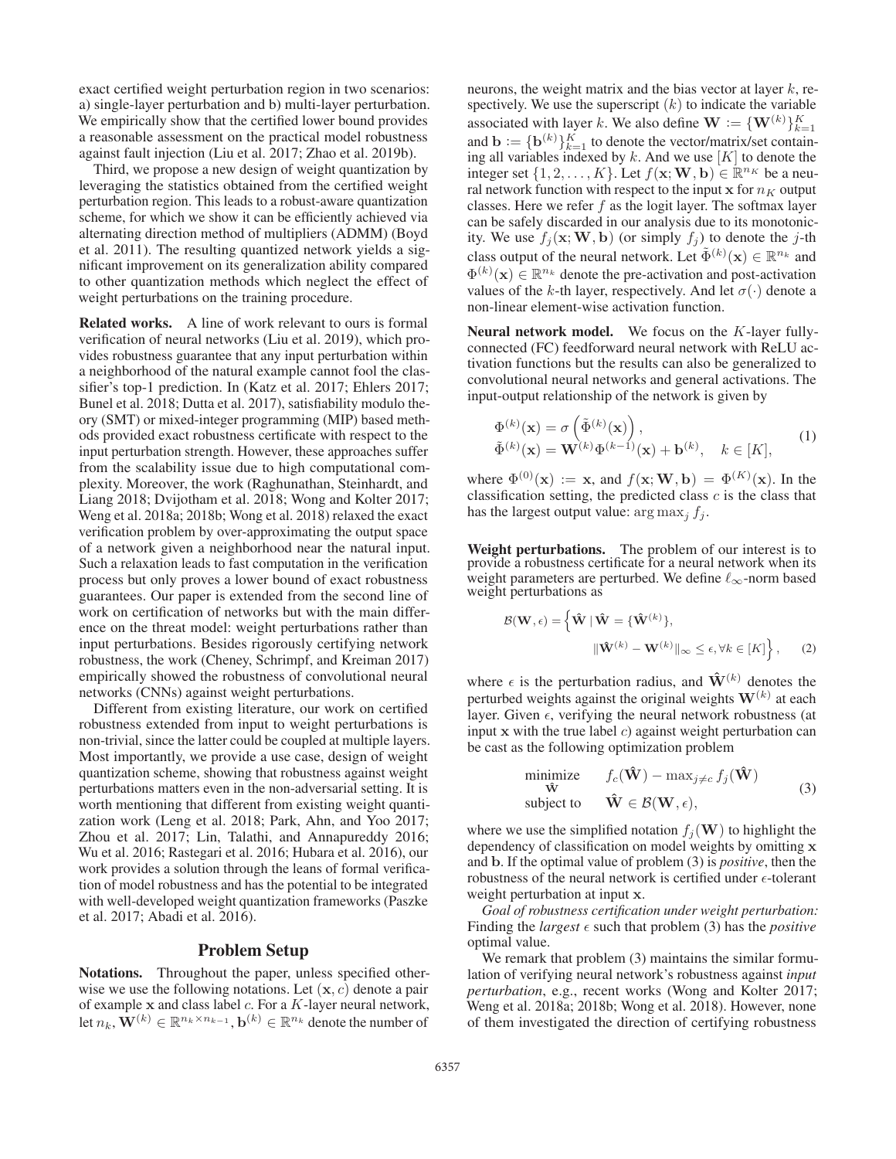exact certified weight perturbation region in two scenarios: a) single-layer perturbation and b) multi-layer perturbation. We empirically show that the certified lower bound provides a reasonable assessment on the practical model robustness against fault injection (Liu et al. 2017; Zhao et al. 2019b).

Third, we propose a new design of weight quantization by leveraging the statistics obtained from the certified weight perturbation region. This leads to a robust-aware quantization scheme, for which we show it can be efficiently achieved via alternating direction method of multipliers (ADMM) (Boyd et al. 2011). The resulting quantized network yields a significant improvement on its generalization ability compared to other quantization methods which neglect the effect of weight perturbations on the training procedure.

Related works. A line of work relevant to ours is formal verification of neural networks (Liu et al. 2019), which provides robustness guarantee that any input perturbation within a neighborhood of the natural example cannot fool the classifier's top-1 prediction. In (Katz et al. 2017; Ehlers 2017; Bunel et al. 2018; Dutta et al. 2017), satisfiability modulo theory (SMT) or mixed-integer programming (MIP) based methods provided exact robustness certificate with respect to the input perturbation strength. However, these approaches suffer from the scalability issue due to high computational complexity. Moreover, the work (Raghunathan, Steinhardt, and Liang 2018; Dvijotham et al. 2018; Wong and Kolter 2017; Weng et al. 2018a; 2018b; Wong et al. 2018) relaxed the exact verification problem by over-approximating the output space of a network given a neighborhood near the natural input. Such a relaxation leads to fast computation in the verification process but only proves a lower bound of exact robustness guarantees. Our paper is extended from the second line of work on certification of networks but with the main difference on the threat model: weight perturbations rather than input perturbations. Besides rigorously certifying network robustness, the work (Cheney, Schrimpf, and Kreiman 2017) empirically showed the robustness of convolutional neural networks (CNNs) against weight perturbations.

Different from existing literature, our work on certified robustness extended from input to weight perturbations is non-trivial, since the latter could be coupled at multiple layers. Most importantly, we provide a use case, design of weight quantization scheme, showing that robustness against weight perturbations matters even in the non-adversarial setting. It is worth mentioning that different from existing weight quantization work (Leng et al. 2018; Park, Ahn, and Yoo 2017; Zhou et al. 2017; Lin, Talathi, and Annapureddy 2016; Wu et al. 2016; Rastegari et al. 2016; Hubara et al. 2016), our work provides a solution through the leans of formal verification of model robustness and has the potential to be integrated with well-developed weight quantization frameworks (Paszke et al. 2017; Abadi et al. 2016).

#### Problem Setup

Notations. Throughout the paper, unless specified otherwise we use the following notations. Let (**x**, c) denote a pair of example **x** and class label c. For a K-layer neural network, let  $n_k$ ,  $\mathbf{W}^{(k)} \in \mathbb{R}^{n_k \times n_{k-1}}$ ,  $\mathbf{b}^{(k)} \in \mathbb{R}^{n_k}$  denote the number of

neurons, the weight matrix and the bias vector at layer  $k$ , respectively. We use the superscript  $(k)$  to indicate the variable associated with layer k. We also define  $\mathbf{W} := \{\mathbf{W}^{(k)}\}_{k=1}^K$ <br>and  $\mathbf{h} := \int \mathbf{h}^{(k)} \, \mathbf{W}$  to denote the vector/matrix/set contain and **b** :=  ${\bf b}^{(k)}$   $K_{=1}^K$  to denote the vector/matrix/set contain-<br>ing all variables indexed by k. And we use [K] to denote the ing all variables indexed by  $k$ . And we use  $[K]$  to denote the integer set  $\{1, 2, ..., K\}$ . Let  $f(\mathbf{x}; \mathbf{W}, \mathbf{b}) \in \mathbb{R}^{n_K}$  be a neural network function with respect to the input  $x$  for  $n<sub>K</sub>$  output classes. Here we refer  $f$  as the logit layer. The softmax layer can be safely discarded in our analysis due to its monotonicity. We use  $f_j(\mathbf{x}; \mathbf{W}, \mathbf{b})$  (or simply  $f_j$ ) to denote the j-th class output of the neural network. Let  $\tilde{\Phi}^{(k)}(\mathbf{x}) \in \mathbb{R}^{n_k}$  and  $\Phi^{(k)}(\mathbf{x}) \in \mathbb{R}^{n_k}$  denote the pre-activation and post-activation  $\Phi^{(k)}(\mathbf{x}) \in \mathbb{R}^{n_k}$  denote the pre-activation and post-activation values of the k-th layer respectively. And let  $\sigma(\cdot)$  denote a values of the k-th layer, respectively. And let  $\sigma(\cdot)$  denote a non-linear element-wise activation function.

**Neural network model.** We focus on the  $K$ -layer fullyconnected (FC) feedforward neural network with ReLU activation functions but the results can also be generalized to convolutional neural networks and general activations. The input-output relationship of the network is given by

$$
\Phi^{(k)}(\mathbf{x}) = \sigma\left(\tilde{\Phi}^{(k)}(\mathbf{x})\right),\tilde{\Phi}^{(k)}(\mathbf{x}) = \mathbf{W}^{(k)}\Phi^{(k-1)}(\mathbf{x}) + \mathbf{b}^{(k)}, \quad k \in [K],
$$
\n(1)

where  $\Phi^{(0)}(\mathbf{x}) := \mathbf{x}$ , and  $f(\mathbf{x}; \mathbf{W}, \mathbf{b}) = \Phi^{(K)}(\mathbf{x})$ . In the classification setting the predicted class c is the class that classification setting, the predicted class  $c$  is the class that has the largest output value:  $\arg \max_i f_i$ .

Weight perturbations. The problem of our interest is to provide a robustness certificate for a neural network when its weight parameters are perturbed. We define  $\ell_{\infty}$ -norm based weight perturbations as

$$
\mathcal{B}(\mathbf{W}, \epsilon) = \left\{ \hat{\mathbf{W}} \mid \hat{\mathbf{W}} = \{ \hat{\mathbf{W}}^{(k)} \},\right.\n\left\|\hat{\mathbf{W}}^{(k)} - \mathbf{W}^{(k)}\right\|_{\infty} \leq \epsilon, \forall k \in [K] \right\},\n\tag{2}
$$

where  $\epsilon$  is the perturbation radius, and  $\hat{\mathbf{W}}^{(k)}$  denotes the perturbed weights against the original weights  $\mathbf{W}^{(k)}$  at each layer. Given  $\epsilon$ , verifying the neural network robustness (at input  $x$  with the true label  $c$ ) against weight perturbation can be cast as the following optimization problem

$$
\begin{array}{ll}\n\text{minimize} & f_c(\hat{\mathbf{W}}) - \max_{j \neq c} f_j(\hat{\mathbf{W}}) \\
\hat{\mathbf{w}} \\
\text{subject to} & \hat{\mathbf{W}} \in \mathcal{B}(\mathbf{W}, \epsilon),\n\end{array} \tag{3}
$$

where we use the simplified notation  $f_i(\mathbf{W})$  to highlight the dependency of classification on model weights by omitting **x** and **b**. If the optimal value of problem (3) is *positive*, then the robustness of the neural network is certified under  $\epsilon$ -tolerant weight perturbation at input **x**.

*Goal of robustness certification under weight perturbation:* Finding the *largest*  $\epsilon$  such that problem (3) has the *positive* optimal value.

We remark that problem (3) maintains the similar formulation of verifying neural network's robustness against *input perturbation*, e.g., recent works (Wong and Kolter 2017; Weng et al. 2018a; 2018b; Wong et al. 2018). However, none of them investigated the direction of certifying robustness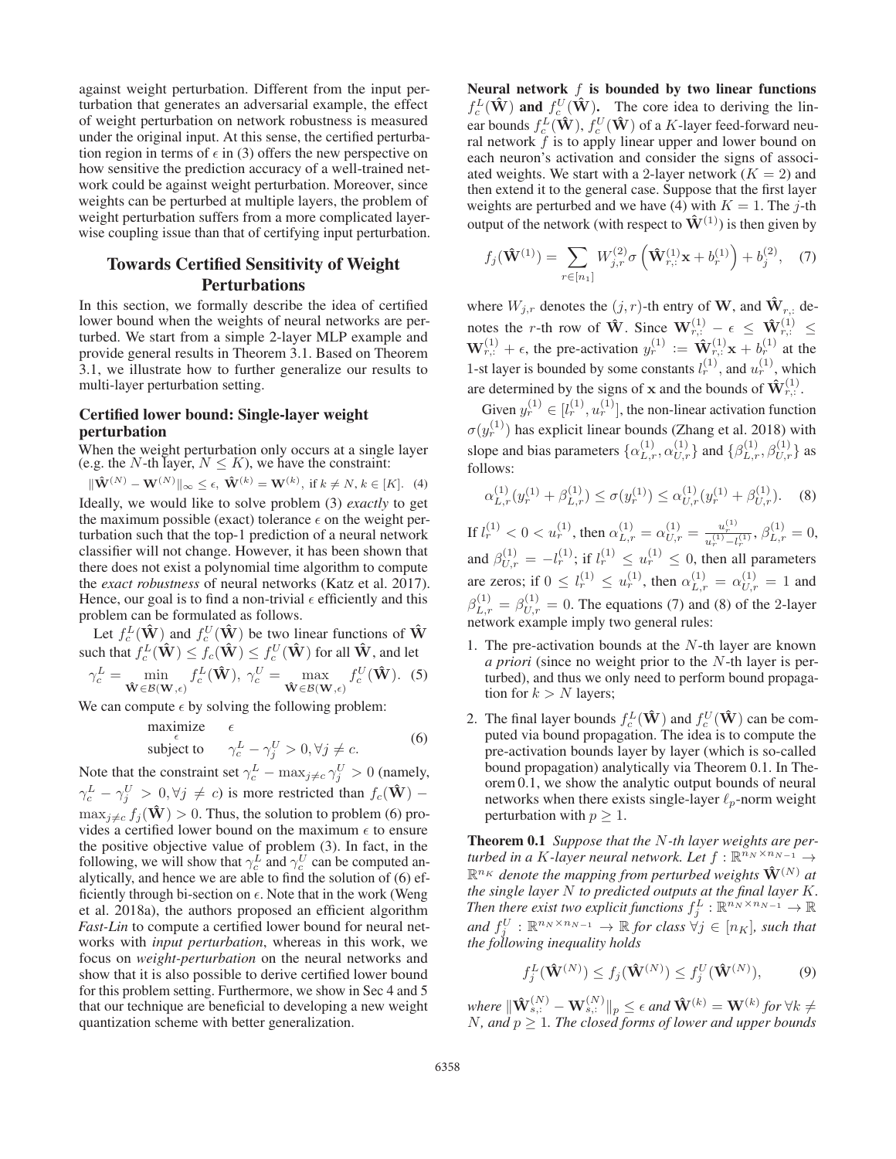against weight perturbation. Different from the input perturbation that generates an adversarial example, the effect of weight perturbation on network robustness is measured under the original input. At this sense, the certified perturbation region in terms of  $\epsilon$  in (3) offers the new perspective on how sensitive the prediction accuracy of a well-trained network could be against weight perturbation. Moreover, since weights can be perturbed at multiple layers, the problem of weight perturbation suffers from a more complicated layerwise coupling issue than that of certifying input perturbation.

# Towards Certified Sensitivity of Weight Perturbations

In this section, we formally describe the idea of certified lower bound when the weights of neural networks are perturbed. We start from a simple 2-layer MLP example and provide general results in Theorem 3.1. Based on Theorem 3.1, we illustrate how to further generalize our results to multi-layer perturbation setting.

# Certified lower bound: Single-layer weight perturbation

When the weight perturbation only occurs at a single layer (e.g. the N-th layer,  $N \leq K$ ), we have the constraint:

 $\|\hat{\mathbf{W}}^{(N)} - \mathbf{W}^{(N)}\|_{\infty} \leq \epsilon, \ \hat{\mathbf{W}}^{(k)} = \mathbf{W}^{(k)}, \text{ if } k \neq N, k \in [K].$  (4) Ideally, we would like to solve problem (3) *exactly* to get the maximum possible (exact) tolerance  $\epsilon$  on the weight perturbation such that the top-1 prediction of a neural network classifier will not change. However, it has been shown that there does not exist a polynomial time algorithm to compute the *exact robustness* of neural networks (Katz et al. 2017). Hence, our goal is to find a non-trivial  $\epsilon$  efficiently and this problem can be formulated as follows.

Let  $f_c^L(\hat{\mathbf{W}})$  and  $f_c^U(\hat{\mathbf{W}})$  be two linear functions of  $\hat{\mathbf{W}}$ <br>such that  $f_c^L(\hat{\mathbf{W}}) \le f_c(\hat{\mathbf{W}}) \le f_c^U(\hat{\mathbf{W}})$  for all  $\hat{\mathbf{W}}$ , and let<br> $\gamma_c^L = \min_{\hat{\mathbf{W}} \in \mathcal{B}(\mathbf{W}, \epsilon)} f_c^L(\hat{\mathbf{W}})$ ,  $\gamma_c^U = \max_{$  $f_c^L(\hat{\mathbf{W}}), \gamma_c^U = \max_{\hat{\mathbf{W}} \in \mathcal{B}(\mathbf{W}, \epsilon)}$  $f_c^U(\hat{\mathbf{W}})$ . (5)

We can compute  $\epsilon$  by solving the following problem:

maximize 
$$
\epsilon
$$
  
\nsubject to  $\gamma_c^L - \gamma_j^U > 0, \forall j \neq c.$  (6)

Note that the constraint set  $\gamma_c^L$  –  $\max_{j \neq c} \gamma_j^U > 0$  (namely,  $\gamma_c^L - \gamma_j^U > 0, \forall j \neq c$ ) is more restricted than  $f_c(\hat{\mathbf{W}})$  –  $\max_{i \neq c} f_i(\hat{\mathbf{W}}) > 0$ . Thus, the solution to problem (6) provides a certified lower bound on the maximum  $\epsilon$  to ensure the positive objective value of problem (3). In fact, in the following, we will show that  $\gamma_c^L$  and  $\gamma_c^U$  can be computed analytically, and hence we are able to find the solution of (6) efficiently through bi-section on  $\epsilon$ . Note that in the work (Weng et al. 2018a), the authors proposed an efficient algorithm *Fast-Lin* to compute a certified lower bound for neural networks with *input perturbation*, whereas in this work, we focus on *weight-perturbation* on the neural networks and show that it is also possible to derive certified lower bound for this problem setting. Furthermore, we show in Sec 4 and 5 that our technique are beneficial to developing a new weight quantization scheme with better generalization.

Neural network  $f$  is bounded by two linear functions  $f_C^L(\hat{\mathbf{W}})$  and  $f_C^U(\hat{\mathbf{W}})$ . The core idea to deriving the lin-<br>ear bounds  $f^L(\hat{\mathbf{W}})$   $f^U(\hat{\mathbf{W}})$  of a K-layer feed forward new ear bounds  $f_c^L(\hat{\mathbf{W}})$ ,  $f_c^U(\hat{\mathbf{W}})$  of a K-layer feed-forward neu-<br>ral network f is to apply linear upper and lower bound on ral network  $\tilde{f}$  is to apply linear upper and lower bound on each neuron's activation and consider the signs of associated weights. We start with a 2-layer network  $(K = 2)$  and then extend it to the general case. Suppose that the first layer weights are perturbed and we have (4) with  $K = 1$ . The j-th output of the network (with respect to  $\hat{\mathbf{W}}^{(1)}$ ) is then given by

$$
f_j(\hat{\mathbf{W}}^{(1)}) = \sum_{r \in [n_1]} W_{j,r}^{(2)} \sigma\left(\hat{\mathbf{W}}_{r,:}^{(1)} \mathbf{x} + b_r^{(1)}\right) + b_j^{(2)}, \quad (7)
$$

where  $W_{j,r}$  denotes the  $(j, r)$ -th entry of **W**, and  $\hat{\mathbf{W}}_{r,:}$  denotes the *r*-th row of  $\hat{\mathbf{W}}$ . Since  $\mathbf{W}_{r,:}^{(1)} - \epsilon \leq \hat{\mathbf{W}}_{r,:}^{(1)} \leq$  $\mathbf{W}_{r}^{(1)} + \epsilon$ , the pre-activation  $y_r^{(1)} := \mathbf{\hat{W}}_{r}^{(1)} \mathbf{x} + b_r^{(1)}$  at the 1-st layer is bounded by some constants  $l_r^{(1)}$ , and  $u_r^{(1)}$ , which are determined by the signs of **x** and the bounds of  $\mathbf{\hat{W}}_{r,:}^{(1)}$ .

Given  $y_r^{(1)} \in [l_r^{(1)}, u_r^{(1)}]$ , the non-linear activation function<br> $u^{(1)}$ ), has small in the non-locular (There at al. 2018), with  $\sigma(y_r^{(1)})$  has explicit linear bounds (Zhang et al. 2018) with  $\sigma(y_r^{(1)})$  has explicit linear bounds (Zhang et al. 2018) with slope and bias parameters  $\{\alpha_{L,r}^{(1)}, \alpha_{U,r}^{(1)}\}$  and  $\{\beta_{L,r}^{(1)}, \beta_{U,r}^{(1)}\}$  as follows:

$$
\alpha_{L,r}^{(1)}(y_r^{(1)} + \beta_{L,r}^{(1)}) \le \sigma(y_r^{(1)}) \le \alpha_{U,r}^{(1)}(y_r^{(1)} + \beta_{U,r}^{(1)}).
$$
 (8)

If  $l_r^{(1)} < 0 < u_r^{(1)}$ , then  $\alpha_{L,r}^{(1)} = \alpha_{U,r}^{(1)} = \frac{u_r^{(1)}}{u_r^{(1)} - l_r^{(1)}}, \beta_{L,r}^{(1)} = 0$ , and  $\beta_{U,r}^{(1)} = -l_r^{(1)}$ ; if  $l_r^{(1)} \le u_r^{(1)} \le 0$ , then all parameters are zeros; if  $0 \le l_r^{(1)} \le u_r^{(1)}$ , then  $\alpha_{L,r}^{(1)} = \alpha_{U,r}^{(1)} = 1$  and  $\beta_{L,r}^{(1)} = \beta_{U,r}^{(1)} = 0$ . The equations (7) and (8) of the 2-layer network example imply two general rules:

- 1. The pre-activation bounds at the  $N$ -th layer are known *a priori* (since no weight prior to the N-th layer is perturbed), and thus we only need to perform bound propagation for  $k>N$  layers;
- 2. The final layer bounds  $f_c^L(\hat{\mathbf{W}})$  and  $f_c^U(\hat{\mathbf{W}})$  can be com-<br>puted via bound propagation. The idea is to compute the puted via bound propagation. The idea is to compute the pre-activation bounds layer by layer (which is so-called bound propagation) analytically via Theorem 0.1. In Theorem 0.1, we show the analytic output bounds of neural networks when there exists single-layer  $\ell_p$ -norm weight perturbation with  $p \geq 1$ .

Theorem 0.1 *Suppose that the* N*-th layer weights are perturbed in a K-layer neural network. Let*  $f : \mathbb{R}^{n_N \times n_{N-1}} \rightarrow$  $\mathbb{R}^{n_K}$  *denote the mapping from perturbed weights*  $\hat{\mathbf{W}}^{(N)}$  *at the single layer* N *to predicted outputs at the final layer* K*.* **Then there exist two explicit functions**  $f_j^L : \mathbb{R}^{n_N \times n_{N-1}} \to \mathbb{R}$ and  $f_j^U$ :  $\mathbb{R}^{n_N \times n_{N-1}}$   $\rightarrow \mathbb{R}$  *for class*  $\forall j \in [n_K]$ *, such that the following inequality holds the following inequality holds*

$$
f_j^L(\hat{\mathbf{W}}^{(N)}) \le f_j(\hat{\mathbf{W}}^{(N)}) \le f_j^U(\hat{\mathbf{W}}^{(N)}), \tag{9}
$$

*where*  $\|\hat{\mathbf{W}}_{s,:}^{(N)} - \mathbf{W}_{s,:}^{(N)}\|_p \le \epsilon$  and  $\hat{\mathbf{W}}^{(k)} = \mathbf{W}^{(k)}$  for  $\forall k \ne N$  and  $p \ge 1$ . The closed forms of lower and unner hounds <sup>N</sup>*, and* <sup>p</sup> <sup>≥</sup> 1*. The closed forms of lower and upper bounds*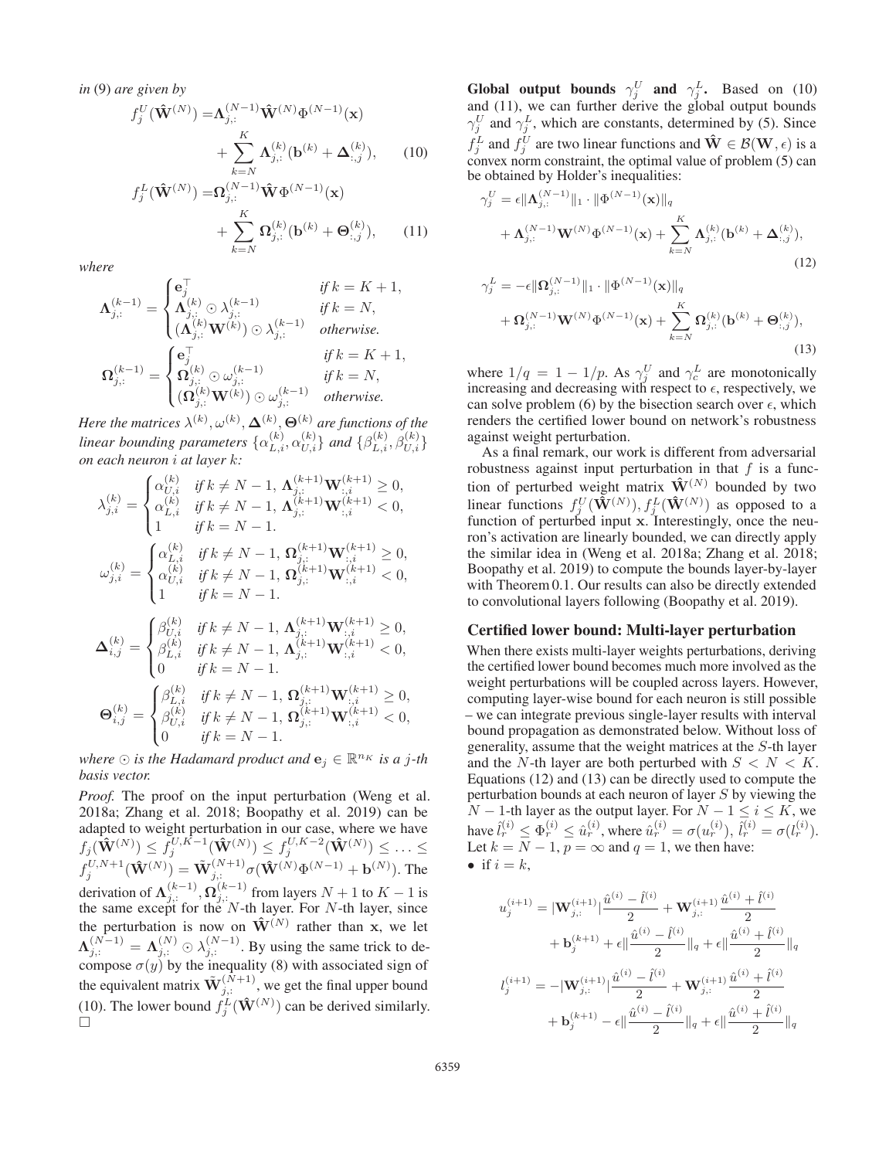*in* (9) *are given by*

$$
f_j^U(\hat{\mathbf{W}}^{(N)}) = \mathbf{\Lambda}_{j,:}^{(N-1)} \hat{\mathbf{W}}^{(N)} \Phi^{(N-1)}(\mathbf{x})
$$
  
+ 
$$
\sum_{k=N}^{K} \mathbf{\Lambda}_{j,:}^{(k)} (\mathbf{b}^{(k)} + \mathbf{\Delta}_{:,j}^{(k)}), \qquad (10)
$$
  

$$
f_j^L(\hat{\mathbf{W}}^{(N)}) = \mathbf{\Omega}_{j,:}^{(N-1)} \hat{\mathbf{W}} \Phi^{(N-1)}(\mathbf{x})
$$

 $+\sum_{k=-N}$ K  $k = N$  $\Omega_{j,:}^{(k)}(\mathbf{b}^{(k)} + \Theta_{:,j}^{(k)}),$  (11)

*where*

$$
\mathbf{\Lambda}_{j,:}^{(k-1)} = \begin{cases} \mathbf{e}_{j}^{\top} & \text{if } k = K+1, \\ \mathbf{\Lambda}_{j,:}^{(k)} \odot \lambda_{j,:}^{(k-1)} & \text{if } k = N, \\ (\mathbf{\Lambda}_{j,:}^{(k)} \mathbf{W}^{(k)}) \odot \lambda_{j,:}^{(k-1)} & \text{otherwise.} \end{cases}
$$

$$
\mathbf{\Omega}_{j,:}^{(k-1)} = \begin{cases} \mathbf{e}_{j}^{\top} & \text{if } k = K+1, \\ \mathbf{\Omega}_{j,:}^{(k)} \odot \omega_{j,:}^{(k-1)} & \text{if } k = N, \\ (\mathbf{\Omega}_{j,:}^{(k)} \mathbf{W}^{(k)}) \odot \omega_{j,:}^{(k-1)} & \text{otherwise.} \end{cases}
$$

Here the matrices  $\lambda^{(k)}$ ,  $\omega^{(k)}$ ,  $\mathbf{\Delta}^{(k)}$ ,  $\mathbf{\Theta}^{(k)}$  are functions of the *linear bounding parameters*  $\{\alpha_{L,i}^{(k)}, \alpha_{U,i}^{(k)}\}$  *and*  $\{\beta_{L,i}^{(k)}, \beta_{U,i}^{(k)}\}$ *on each neuron* i *at layer* k*:*

$$
\lambda_{j,i}^{(k)} = \begin{cases} \alpha_{U,i}^{(k)} & \text{if } k \neq N-1, \ \Lambda_{j,:}^{(k+1)} \mathbf{W}_{:,i}^{(k+1)} \geq 0, \\ \alpha_{L,i}^{(k)} & \text{if } k \neq N-1, \ \Lambda_{j,:}^{(k+1)} \mathbf{W}_{:,i}^{(k+1)} < 0, \\ 1 & \text{if } k = N-1. \end{cases}
$$
  
\n
$$
\omega_{j,i}^{(k)} = \begin{cases} \alpha_{L,i}^{(k)} & \text{if } k \neq N-1, \ \Omega_{j,:}^{(k+1)} \mathbf{W}_{:,i}^{(k+1)} \geq 0, \\ \alpha_{U,i}^{(k)} & \text{if } k \neq N-1, \ \Omega_{j,:}^{(k+1)} \mathbf{W}_{:,i}^{(k+1)} < 0, \\ 1 & \text{if } k = N-1. \end{cases}
$$
  
\n
$$
\Delta_{i,j}^{(k)} = \begin{cases} \beta_{U,i}^{(k)} & \text{if } k \neq N-1, \ \Lambda_{j,:}^{(k+1)} \mathbf{W}_{:,i}^{(k+1)} \geq 0, \\ \beta_{L,i}^{(k)} & \text{if } k \neq N-1, \ \Lambda_{j,:}^{(k+1)} \mathbf{W}_{:,i}^{(k+1)} < 0, \\ 0 & \text{if } k = N-1. \end{cases}
$$
  
\n
$$
\Theta_{i,j}^{(k)} = \begin{cases} \beta_{L,i}^{(k)} & \text{if } k \neq N-1, \ \Omega_{j,:}^{(k+1)} \mathbf{W}_{:,i}^{(k+1)} \geq 0, \\ \beta_{U,i}^{(k)} & \text{if } k \neq N-1, \ \Omega_{j,:}^{(k+1)} \mathbf{W}_{:,i}^{(k+1)} < 0, \\ 0 & \text{if } k = N-1. \end{cases}
$$

*where*  $\odot$  *is the Hadamard product and*  $\mathbf{e}_j \in \mathbb{R}^{n_K}$  *is a j-th basis vector.*

*Proof.* The proof on the input perturbation (Weng et al. 2018a; Zhang et al. 2018; Boopathy et al. 2019) can be adapted to weight perturbation in our case, where we have  $f_j(\hat{\mathbf{W}}^{(N)}) \leq f_j^{U, K-1}(\hat{\mathbf{W}}^{(N)}) \leq f_j^{U, K-2}(\hat{\mathbf{W}}^{(N)}) \leq \ldots \leq f_j^{U, N+1}(\hat{\mathbf{W}}^{(N)}) = \tilde{\mathbf{W}}_{j,:}^{(N+1)} \sigma(\hat{\mathbf{W}}^{(N)} \Phi^{(N-1)} + \mathbf{b}^{(N)})$ . The derivation of  $\Lambda_{j,:}^{(k-1)}, \Omega_{j,:}^{(k-1)}$  from layers  $N+1$  to  $K-1$  is the same except for the N-th layer. For N-th layer since the same except for the  $N$ -th layer. For  $N$ -th layer, since the perturbation is now on  $\mathbf{\hat{W}}^{(N)}$  rather than **x**, we let  $\Lambda_{j,:}^{(N-1)} = \Lambda_{j,:}^{(N)} \odot \lambda_{j,:}^{(N-1)}$ . By using the same trick to de-<br>compose  $\sigma(u)$  by the inequality (8) with associated sign of compose  $\sigma(y)$  by the inequality (8) with associated sign of the equivalent matrix  $\tilde{\mathbf{W}}_{j,:}^{(\tilde{N}+1)}$ , we get the final upper bound (10). The lower bound  $\tilde{f}_j^L(\hat{\mathbf{W}}^{(N)})$  can be derived similarly.  $\Box$ 

Global output bounds  $\gamma_i^U$  and  $\gamma_i^L$ . Based on (10) and (11), we can further derive the global output bounds  $\gamma_i^U$  and  $\gamma_i^L$ , which are constants, determined by (5). Since  $f_j^L$  and  $f_j^U$  are two linear functions and  $\hat{\mathbf{W}} \in \mathcal{B}(\mathbf{W}, \epsilon)$  is a convex norm constraint the optimal value of problem (5) can convex norm constraint, the optimal value of problem  $(5)$  can be obtained by Holder's inequalities:

$$
\gamma_j^U = \epsilon \|\mathbf{\Lambda}_{j,:}^{(N-1)}\|_1 \cdot \|\Phi^{(N-1)}(\mathbf{x})\|_q
$$
  
+  $\mathbf{\Lambda}_{j,:}^{(N-1)} \mathbf{W}^{(N)} \Phi^{(N-1)}(\mathbf{x}) + \sum_{k=N}^K \mathbf{\Lambda}_{j,:}^{(k)} (\mathbf{b}^{(k)} + \mathbf{\Delta}_{:,j}^{(k)}),$   

$$
\gamma_j^L = -\epsilon \|\mathbf{\Omega}_{j,:}^{(N-1)}\|_1 \cdot \|\Phi^{(N-1)}(\mathbf{x})\|_q
$$
  
+  $\mathbf{\Omega}_{j,:}^{(N-1)} \mathbf{W}^{(N)} \Phi^{(N-1)}(\mathbf{x}) + \sum_{k=N}^K \mathbf{\Omega}_{j,:}^{(k)} (\mathbf{b}^{(k)} + \mathbf{\Theta}_{:,j}^{(k)}),$   
(13)

where  $1/q = 1 - 1/p$ . As  $\gamma_v^U$  and  $\gamma_c^L$  are monotonically increasing and decreasing with respect to  $\epsilon$  respectively we increasing and decreasing with respect to  $\epsilon$ , respectively, we can solve problem (6) by the bisection search over  $\epsilon$ , which renders the certified lower bound on network's robustness against weight perturbation.

As a final remark, our work is different from adversarial robustness against input perturbation in that  $f$  is a function of perturbed weight matrix  $\hat{\mathbf{W}}^{(N)}$  bounded by two linear functions  $f_j^U(\tilde{\mathbf{W}}^{(N)}), f_j^L(\tilde{\mathbf{W}}^{(N)})$  as opposed to a function of perturbed input x Interestingly once the neufunction of perturbed input **x**. Interestingly, once the neuron's activation are linearly bounded, we can directly apply the similar idea in (Weng et al. 2018a; Zhang et al. 2018; Boopathy et al. 2019) to compute the bounds layer-by-layer with Theorem 0.1. Our results can also be directly extended to convolutional layers following (Boopathy et al. 2019).

#### Certified lower bound: Multi-layer perturbation

When there exists multi-layer weights perturbations, deriving the certified lower bound becomes much more involved as the weight perturbations will be coupled across layers. However, computing layer-wise bound for each neuron is still possible – we can integrate previous single-layer results with interval bound propagation as demonstrated below. Without loss of generality, assume that the weight matrices at the S-th layer and the N-th layer are both perturbed with  $S < N < K$ . Equations (12) and (13) can be directly used to compute the perturbation bounds at each neuron of layer S by viewing the  $N-1$ -th layer as the output layer. For  $N-1 \leq i \leq K$ , we have  $\hat{l}_r^{(i)} \leq \Phi_r^{(i)} \leq \hat{u}_r^{(i)}$ , where  $\hat{u}_r^{(i)} = \sigma(u_r^{(i)}), \hat{l}_r^{(i)} = \sigma(l_r^{(i)}).$ <br>Let  $k = N - 1$ ,  $n = \infty$  and  $q = 1$ , we then have: Let  $k = N - 1$ ,  $p = \infty$  and  $q = 1$ , we then have: • if  $i = k$ ,

$$
u_j^{(i+1)} = |\mathbf{W}_{j,:}^{(i+1)}| \frac{\hat{u}^{(i)} - \hat{l}^{(i)}}{2} + \mathbf{W}_{j,:}^{(i+1)} \frac{\hat{u}^{(i)} + \hat{l}^{(i)}}{2}
$$
  
+  $\mathbf{b}_j^{(k+1)} + \epsilon || \frac{\hat{u}^{(i)} - \hat{l}^{(i)}}{2} ||_q + \epsilon || \frac{\hat{u}^{(i)} + \hat{l}^{(i)}}{2} ||_q$   

$$
l_j^{(i+1)} = -|\mathbf{W}_{j,:}^{(i+1)}| \frac{\hat{u}^{(i)} - \hat{l}^{(i)}}{2} + \mathbf{W}_{j,:}^{(i+1)} \frac{\hat{u}^{(i)} + \hat{l}^{(i)}}{2}
$$
  
+  $\mathbf{b}_j^{(k+1)} - \epsilon || \frac{\hat{u}^{(i)} - \hat{l}^{(i)}}{2} ||_q + \epsilon || \frac{\hat{u}^{(i)} + \hat{l}^{(i)}}{2} ||_q$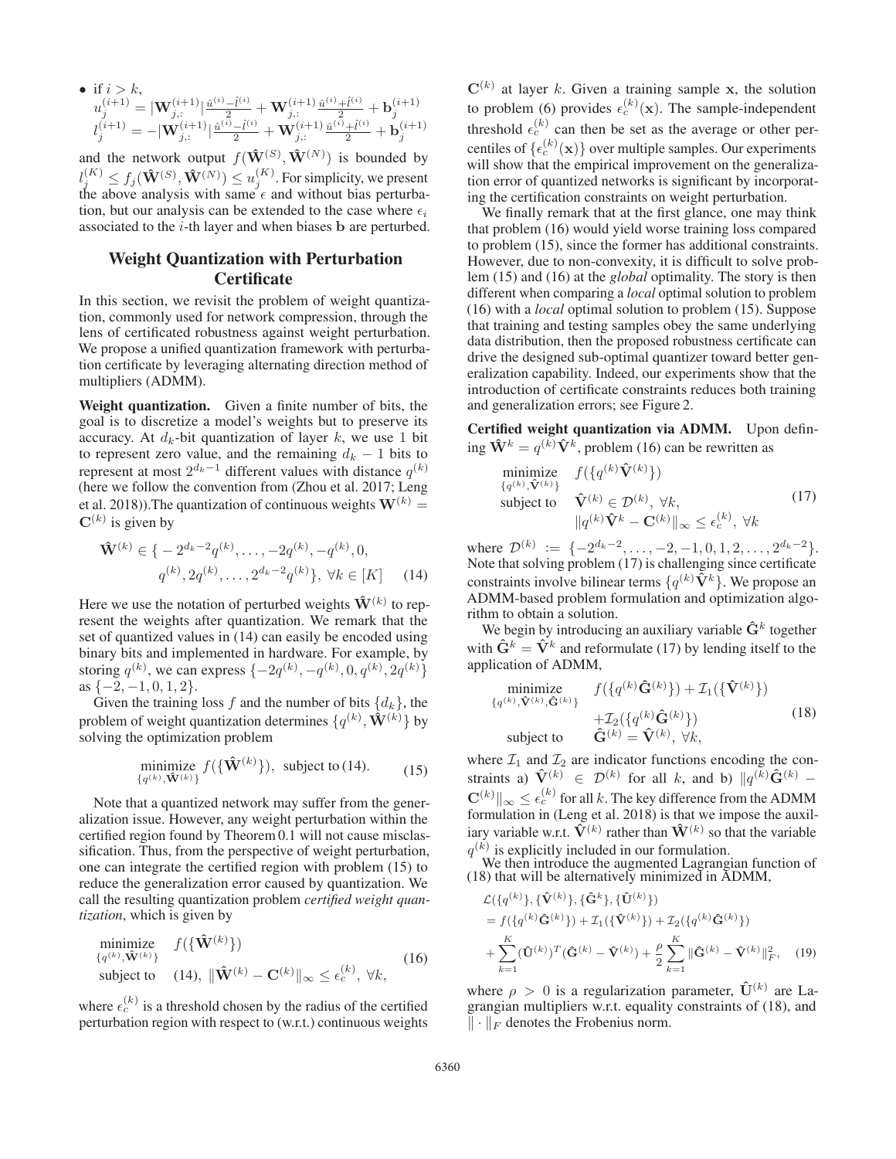$$
\begin{array}{ll} \bullet \ \text{ if } i > k, \\ u_j^{(i+1)} = | \mathbf{W}_{j,:}^{(i+1)} |^{\frac{\hat{u}^{(i)} - \hat{l}^{(i)}}{2}} + \mathbf{W}_{j,:}^{(i+1)} \frac{\hat{u}^{(i)} + \hat{l}^{(i)}}{2} + \mathbf{b}_j^{(i+1)} \\ l_j^{(i+1)} = - | \mathbf{W}_{j,:}^{(i+1)} |^{\frac{\hat{u}^{(i)} - \hat{l}^{(i)}}{2}} + \mathbf{W}_{j,:}^{(i+1)} \frac{\hat{u}^{(i)} + \hat{l}^{(i)}}{2} + \mathbf{b}_j^{(i+1)} \end{array}
$$

and the network output  $f(\mathbf{\hat{W}}^{(S)}, \mathbf{\hat{W}}^{(N)})$ <br> $g(K) \leq f(\mathbf{\hat{X}}^{(S)}, \mathbf{\hat{X}}^{(N)}) \leq g(K)$ . For simple and the network output  $f(\mathbf{W}^{(S)}, \mathbf{W}^{(N)})$  is bounded by  $l_j^{(K)} \le f_j(\mathbf{\hat{W}}^{(S)}, \mathbf{\hat{W}}^{(N)}) \le u_j^{(K)}$ . For simplicity, we present the above analysis with same  $\epsilon$  and without bias perturbathe above analysis with same  $\epsilon$  and without bias perturbation, but our analysis can be extended to the case where  $\epsilon_i$ associated to the i-th layer and when biases **b** are perturbed.

# Weight Quantization with Perturbation **Certificate**

In this section, we revisit the problem of weight quantization, commonly used for network compression, through the lens of certificated robustness against weight perturbation. We propose a unified quantization framework with perturbation certificate by leveraging alternating direction method of multipliers (ADMM).

Weight quantization. Given a finite number of bits, the goal is to discretize a model's weights but to preserve its accuracy. At  $d_k$ -bit quantization of layer k, we use 1 bit to represent zero value, and the remaining  $d_k - 1$  bits to represent at most  $2^{d_k-1}$  different values with distance  $q^{(k)}$ (here we follow the convention from (Zhou et al. 2017; Leng et al. 2018)). The quantization of continuous weights  $W^{(k)} =$  $\mathbf{C}^{(k)}$  is given by

$$
\hat{\mathbf{W}}^{(k)} \in \{ -2^{d_k - 2} q^{(k)}, \dots, -2q^{(k)}, -q^{(k)}, 0, q^{(k)}, 2q^{(k)}, \dots, 2^{d_k - 2} q^{(k)} \}, \ \forall k \in [K] \tag{14}
$$

Here we use the notation of perturbed weights  $\hat{\mathbf{W}}^{(k)}$  to represent the weights after quantization. We remark that the set of quantized values in (14) can easily be encoded using binary bits and implemented in hardware. For example, by storing  $q^{(k)}$ , we can express  $\{-2q^{(k)}, -q^{(k)}, 0, q^{(k)}, 2q^{(k)}\}$ <br>as  $\{-2, -1, 0, 1, 2\}$  $as \{-2, -1, 0, 1, 2\}.$ 

Given the training loss f and the number of bits  $\{d_k\}$ , the problem of weight quantization determines  $\{q^{(k)}, \hat{\mathbf{W}}^{(k)}\}$  by solving the optimization problem

$$
\underset{\{q^{(k)}, \hat{\mathbf{W}}^{(k)}\}}{\text{minimize}} f(\{\hat{\mathbf{W}}^{(k)}\}), \text{ subject to (14)}. \tag{15}
$$

Note that a quantized network may suffer from the generalization issue. However, any weight perturbation within the certified region found by Theorem 0.1 will not cause misclassification. Thus, from the perspective of weight perturbation, one can integrate the certified region with problem (15) to reduce the generalization error caused by quantization. We call the resulting quantization problem *certified weight quantization*, which is given by

$$
\begin{array}{ll}\n\text{minimize} & f(\{\hat{\mathbf{W}}^{(k)}\}) \\
\text{subject to} & (14), \ \|\hat{\mathbf{W}}^{(k)} - \mathbf{C}^{(k)}\|_{\infty} \le \epsilon_c^{(k)}, \ \forall k,\n\end{array} \tag{16}
$$

where  $\epsilon_c^{(k)}$  is a threshold chosen by the radius of the certified perturbation region with respect to (w.r.t.) continuous weights  $\mathbf{C}^{(k)}$  at layer k. Given a training sample **x**, the solution to problem (6) provides  $\epsilon_c^{(k)}(\mathbf{x})$ . The sample-independent threshold  $\epsilon_c^{(k)}$  can then be set as the average or other percentiles of  $\{\epsilon_c^{(k)}(\mathbf{x})\}$  over multiple samples. Our experiments<br>will show that the empirical improvement on the generalizawill show that the empirical improvement on the generalization error of quantized networks is significant by incorporating the certification constraints on weight perturbation.

We finally remark that at the first glance, one may think that problem (16) would yield worse training loss compared to problem (15), since the former has additional constraints. However, due to non-convexity, it is difficult to solve problem (15) and (16) at the *global* optimality. The story is then different when comparing a *local* optimal solution to problem (16) with a *local* optimal solution to problem (15). Suppose that training and testing samples obey the same underlying data distribution, then the proposed robustness certificate can drive the designed sub-optimal quantizer toward better generalization capability. Indeed, our experiments show that the introduction of certificate constraints reduces both training and generalization errors; see Figure 2.

Certified weight quantization via ADMM. Upon defining  $\mathbf{\hat{W}}^k = q^{(k)} \mathbf{\hat{V}}^k$ , problem (16) can be rewritten as

$$
\begin{array}{ll}\n\text{minimize} & f(\{q^{(k)}\hat{\mathbf{V}}^{(k)}\}) \\
\text{subject to} & \hat{\mathbf{V}}^{(k)} \in \mathcal{D}^{(k)}, \forall k, \\
& \|q^{(k)}\hat{\mathbf{V}}^{k} - \mathbf{C}^{(k)}\|_{\infty} \leq \epsilon_c^{(k)}, \forall k\n\end{array} \tag{17}
$$

where  $\mathcal{D}^{(k)} := \{-2^{d_k-2}, \ldots, -2, -1, 0, 1, 2, \ldots, 2^{d_k-2}\}.$ Note that solving problem (17) is challenging since certificate constraints involve bilinear terms  $\{q^{(k)}\tilde{\mathbf{V}}^k\}$ . We propose an ADMM-based problem formulation and optimization algorithm to obtain a solution.

We begin by introducing an auxiliary variable  $\hat{\mathbf{G}}^k$  together with  $\hat{G}^k = \hat{V}^k$  and reformulate (17) by lending itself to the application of ADMM,

$$
\begin{array}{ll}\n\text{minimize} & f(\{q^{(k)}\hat{\mathbf{G}}^{(k)}\}) + \mathcal{I}_1(\{\hat{\mathbf{V}}^{(k)}\}) \\
\text{subject to} & \hat{\mathbf{G}}^{(k)} = \hat{\mathbf{V}}^{(k)}, \forall k, \\
\text{subject to} & \hat{\mathbf{G}}^{(k)} = \hat{\mathbf{V}}^{(k)}, \forall k, \\
\boldsymbol{\pi}_{\text{max}} & \hat{\mathbf{G}}^{(k)} = \hat{\mathbf{V}}^{(k)}, \forall k, \\
\end{array} \tag{18}
$$

where  $\mathcal{I}_1$  and  $\mathcal{I}_2$  are indicator functions encoding the constraints a)  $\hat{\mathbf{V}}^{(k)} \in \mathcal{D}^{(k)}$  for all k, and b)  $\|q^{(k)}\hat{\mathbf{G}}^{(k)}\|$  $\mathbf{C}^{(k)} \|_{\infty} \leq \epsilon_c^{(k)}$  for all k. The key difference from the ADMM formulation in (Leng et al. 2018) is that we impose the auxiliary variable w.r.t.  $\hat{V}^{(k)}$  rather than  $\hat{W}^{(k)}$  so that the variable  $q^{(k)}$  is explicitly included in our formulation.

We then introduce the augmented Lagrangian function of (18) that will be alternatively minimized in ADMM,

$$
\mathcal{L}(\{q^{(k)}\}, \{\hat{\mathbf{V}}^{(k)}\}, \{\hat{\mathbf{G}}^{(k)}\})
$$
\n
$$
= f(\{q^{(k)}\hat{\mathbf{G}}^{(k)}\}) + \mathcal{I}_1(\{\hat{\mathbf{V}}^{(k)}\}) + \mathcal{I}_2(\{q^{(k)}\hat{\mathbf{G}}^{(k)}\})
$$
\n
$$
+ \sum_{k=1}^K (\hat{\mathbf{U}}^{(k)})^T (\hat{\mathbf{G}}^{(k)} - \hat{\mathbf{V}}^{(k)}) + \frac{\rho}{2} \sum_{k=1}^K \|\hat{\mathbf{G}}^{(k)} - \hat{\mathbf{V}}^{(k)}\|_F^2, \quad (19)
$$

where  $\rho > 0$  is a regularization parameter,  $\hat{\mathbf{U}}^{(k)}$  are Lagrangian multipliers w.r.t. equality constraints of (18), and  $\|\cdot\|_F$  denotes the Frobenius norm.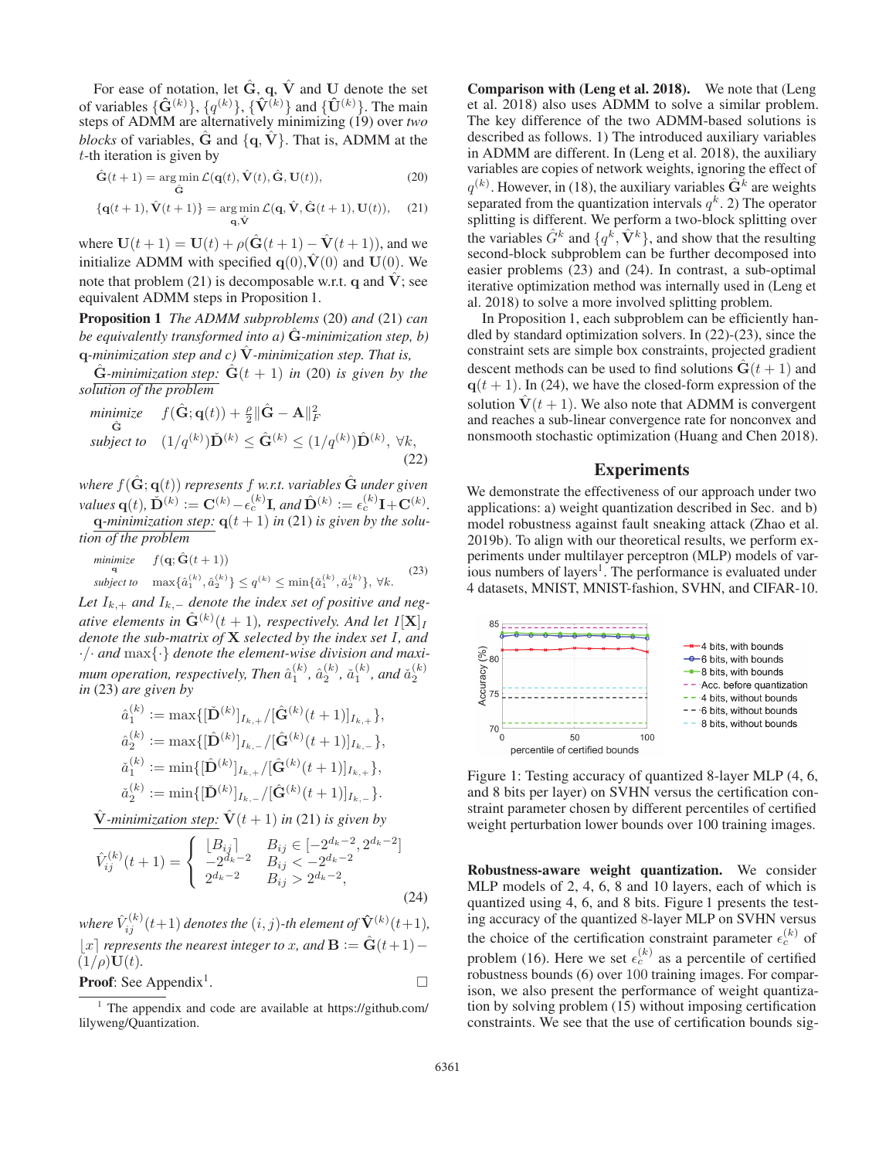For ease of notation, let  $\hat{G}$ , q,  $\hat{V}$  and **U** denote the set of variables  $\{\hat{\mathbf{G}}^{(k)}\}, \{q^{(k)}\}, \{\hat{\mathbf{V}}^{(k)}\}$  and  $\{\hat{\mathbf{U}}^{(k)}\}$ . The main steps of ADMM are alternatively minimizing (19) over *two blocks* of variables,  $\hat{G}$  and  $\{q, V\}$ . That is, ADMM at the  $t$ -th iteration is given by

$$
\hat{\mathbf{G}}(t+1) = \underset{\hat{\mathbf{G}}}{\arg\min} \mathcal{L}(\mathbf{q}(t), \hat{\mathbf{V}}(t), \hat{\mathbf{G}}, \mathbf{U}(t)),
$$
\n(20)

$$
\{\mathbf{q}(t+1), \hat{\mathbf{V}}(t+1)\} = \underset{\mathbf{q}, \hat{\mathbf{V}}}{\arg\min} \mathcal{L}(\mathbf{q}, \hat{\mathbf{V}}, \hat{\mathbf{G}}(t+1), \mathbf{U}(t)), \quad (21)
$$

where  $U(t + 1) = U(t) + \rho(\hat{G}(t + 1) - \hat{V}(t + 1))$ , and we initialize ADMM with specified  $q(0)$ ,  $V(0)$  and  $U(0)$ . We note that problem (21) is decomposable w.r.t. **q** and  $\hat{V}$ ; see equivalent ADMM steps in Proposition 1.

Proposition 1 *The ADMM subproblems* (20) *and* (21) *can be equivalently transformed into a)* **<sup>G</sup>**<sup>ˆ</sup> *-minimization step, b)* **q**-minimization step and c)  $\hat{V}$ -minimization step. That is,

 $\hat{G}$ *-minimization step:*  $\hat{G}(t+1)$  *in* (20) *is given by the solution of the problem*

$$
\begin{array}{ll}\text{minimize} & f(\hat{\mathbf{G}}; \mathbf{q}(t)) + \frac{\rho}{2} \|\hat{\mathbf{G}} - \mathbf{A}\|_{F}^{2} \\ \hat{\mathbf{G}} & \text{subject to} \quad (1/q^{(k)}) \check{\mathbf{D}}^{(k)} \leq \hat{\mathbf{G}}^{(k)} \leq (1/q^{(k)}) \hat{\mathbf{D}}^{(k)}, \ \forall k, \end{array} \tag{22}
$$

*where*  $f(\hat{\mathbf{G}}; \mathbf{q}(t))$  *represents* f *w.r.t. variables*  $\hat{\mathbf{G}}$  *under* given

*values* **q**(t),  $\check{\mathbf{D}}^{(k)} := \mathbf{C}^{(k)} - \epsilon_c^{(k)} \mathbf{I}$ , and  $\hat{\mathbf{D}}^{(k)} := \epsilon_c^{(k)} \mathbf{I} + \mathbf{C}^{(k)}$ .<br> **q**-minimization step:  $\mathbf{q}(t+1)$  in (21) is given by the solu**q***-minimization step:*  $q(t + 1)$  *in* (21) *is given by the solution of the problem*

$$
\begin{array}{ll}\n\text{minimize} & f(\mathbf{q}; \hat{\mathbf{G}}(t+1)) \\
& \text{subject to} \\
& \max\{\hat{a}_1^{(k)}, \hat{a}_2^{(k)}\} \le q^{(k)} \le \min\{\check{a}_1^{(k)}, \check{a}_2^{(k)}\}, \ \forall k. \\
& \text{(23)} \\
& \text{subject to} \\
\end{array}
$$

Let  $I_{k,+}$  and  $I_{k,-}$  denote the index set of positive and neg*ative elements in*  $\hat{\mathbf{G}}^{(k)}(t+1)$ *, respectively. And let*  $I[\mathbf{X}]_I$ <br>*denote the sub-matrix of* **X** *selected by the index set* L *and denote the sub-matrix of* **X** *selected by the index set* I*, and* ·/· *and* max{·} *denote the element-wise division and maxi*mum operation, respectively, Then  $\hat{a}_1^{(k)}$ ,  $\hat{a}_2^{(k)}$ ,  $\check{a}_1^{(k)}$ , and  $\check{a}_2^{(k)}$ <br>in (23) are given by *in* (23) *are given by*

$$
\hat{a}_{1}^{(k)} := \max\{[\check{\mathbf{D}}^{(k)}]_{I_{k,+}}/[\hat{\mathbf{G}}^{(k)}(t+1)]_{I_{k,+}}\},
$$
  
\n
$$
\hat{a}_{2}^{(k)} := \max\{[\hat{\mathbf{D}}^{(k)}]_{I_{k,-}}/[\hat{\mathbf{G}}^{(k)}(t+1)]_{I_{k,-}}\},
$$
  
\n
$$
\check{a}_{1}^{(k)} := \min\{[\hat{\mathbf{D}}^{(k)}]_{I_{k,+}}/[\hat{\mathbf{G}}^{(k)}(t+1)]_{I_{k,+}}\},
$$
  
\n
$$
\check{a}_{2}^{(k)} := \min\{[\check{\mathbf{D}}^{(k)}]_{I_{k,-}}/[\hat{\mathbf{G}}^{(k)}(t+1)]_{I_{k,-}}\}.
$$

 $\hat{\mathbf{V}}$ -minimization step:  $\hat{\mathbf{V}}(t+1)$  in (21) is given by

$$
\hat{V}_{ij}^{(k)}(t+1) = \begin{cases}\n\lfloor B_{ij} \rfloor & B_{ij} \in [-2^{d_k-2}, 2^{d_k-2}] \\
-2^{d_k-2} & B_{ij} < -2^{d_k-2} \\
2^{d_k-2} & B_{ij} > 2^{d_k-2},\n\end{cases}
$$
\n(24)

*where*  $\hat{V}_{ij}^{(k)}(t+1)$  *denotes the*  $(i, j)$ -th element of  $\hat{V}^{(k)}(t+1)$ ,  $\vert x \vert$  represents the nearest integer to x, and  $\mathbf{B} := \hat{\mathbf{G}}(t+1)$  –  $(1/\rho)\mathbf{U}(t)$ .

**Proof:** See Appendix<sup>1</sup>. 
$$
\Box
$$

Comparison with (Leng et al. 2018). We note that (Leng et al. 2018) also uses ADMM to solve a similar problem. The key difference of the two ADMM-based solutions is described as follows. 1) The introduced auxiliary variables in ADMM are different. In (Leng et al. 2018), the auxiliary variables are copies of network weights, ignoring the effect of  $q^{(k)}$ . However, in (18), the auxiliary variables  $\hat{G}^k$  are weights separated from the quantization intervals  $q^k$ . 2) The operator splitting is different. We perform a two-block splitting over the variables  $\hat{G}^k$  and  $\{q^k, \hat{V}^k\}$ , and show that the resulting second-block subproblem can be further decomposed into easier problems (23) and (24). In contrast, a sub-optimal iterative optimization method was internally used in (Leng et al. 2018) to solve a more involved splitting problem.

In Proposition 1, each subproblem can be efficiently handled by standard optimization solvers. In (22)-(23), since the constraint sets are simple box constraints, projected gradient descent methods can be used to find solutions  $\dot{G}(t + 1)$  and  $q(t + 1)$ . In (24), we have the closed-form expression of the solution  $\hat{\mathbf{V}}(t+1)$ . We also note that ADMM is convergent and reaches a sub-linear convergence rate for nonconvex and nonsmooth stochastic optimization (Huang and Chen 2018).

#### Experiments

We demonstrate the effectiveness of our approach under two applications: a) weight quantization described in Sec. and b) model robustness against fault sneaking attack (Zhao et al. 2019b). To align with our theoretical results, we perform experiments under multilayer perceptron (MLP) models of various numbers of layers<sup>1</sup>. The performance is evaluated under 4 datasets, MNIST, MNIST-fashion, SVHN, and CIFAR-10.



Figure 1: Testing accuracy of quantized 8-layer MLP (4, 6, and 8 bits per layer) on SVHN versus the certification constraint parameter chosen by different percentiles of certified weight perturbation lower bounds over 100 training images.

Robustness-aware weight quantization. We consider MLP models of 2, 4, 6, 8 and 10 layers, each of which is quantized using 4, 6, and 8 bits. Figure 1 presents the testing accuracy of the quantized 8-layer MLP on SVHN versus the choice of the certification constraint parameter  $\epsilon_c^{(k)}$  of problem (16). Here we set  $\epsilon_c^{(k)}$  as a percentile of certified robustness bounds (6) over 100 training images. For comparison, we also present the performance of weight quantization by solving problem (15) without imposing certification constraints. We see that the use of certification bounds sig-

<sup>&</sup>lt;sup>1</sup> The appendix and code are available at https://github.com/ lilyweng/Quantization.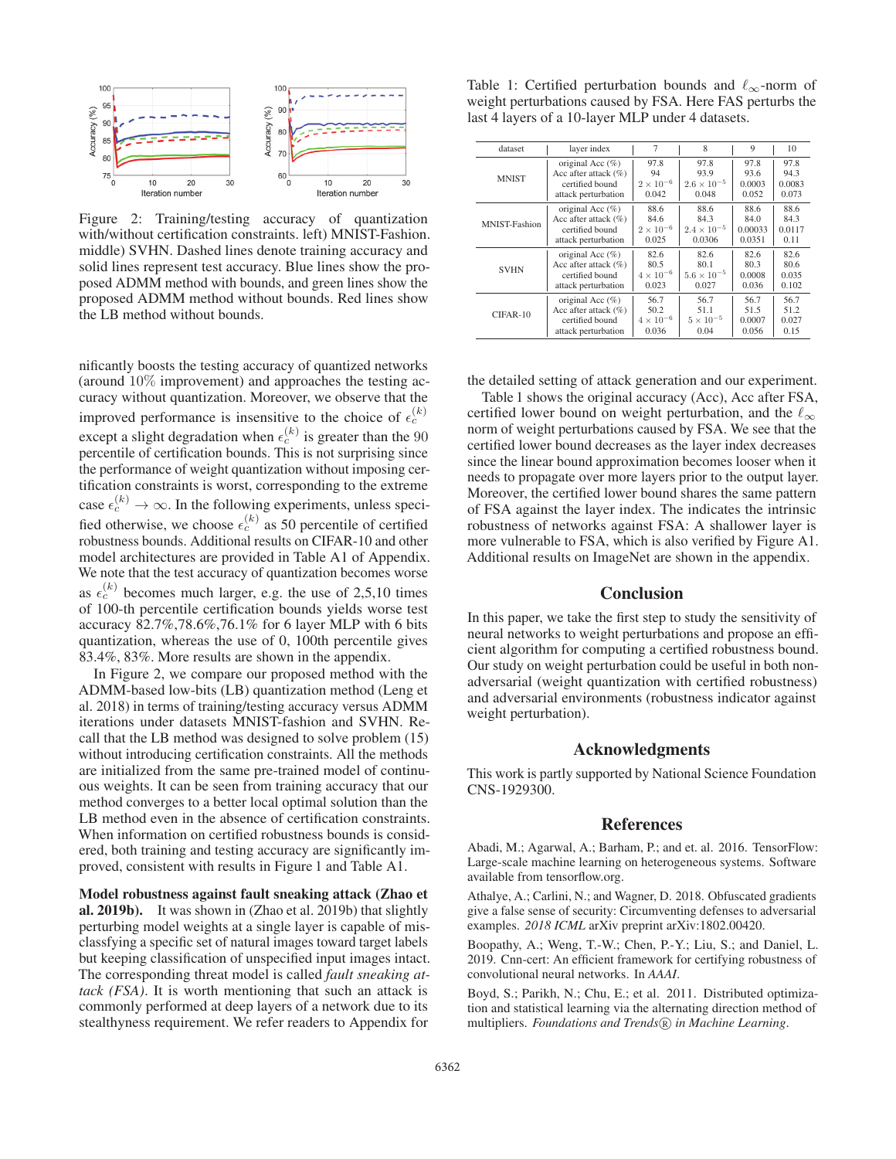

Figure 2: Training/testing accuracy of quantization with/without certification constraints. left) MNIST-Fashion. middle) SVHN. Dashed lines denote training accuracy and solid lines represent test accuracy. Blue lines show the proposed ADMM method with bounds, and green lines show the proposed ADMM method without bounds. Red lines show the LB method without bounds.

nificantly boosts the testing accuracy of quantized networks (around 10% improvement) and approaches the testing accuracy without quantization. Moreover, we observe that the improved performance is insensitive to the choice of  $\epsilon_c^{(k)}$ except a slight degradation when  $\epsilon_c^{(k)}$  is greater than the 90<br>nercentile of certification bounds. This is not surprising since percentile of certification bounds. This is not surprising since the performance of weight quantization without imposing certification constraints is worst, corresponding to the extreme case  $\epsilon_c^{(k)} \to \infty$ . In the following experiments, unless specified otherwise, we choose  $\epsilon_c^{(k)}$  as 50 percentile of certified robustness bounds. Additional results on CIFAR-10 and other model architectures are provided in Table A1 of Appendix. We note that the test accuracy of quantization becomes worse as  $\epsilon_c^{(k)}$  becomes much larger, e.g. the use of 2,5,10 times of 100-th percentile certification bounds yields worse test accuracy 82.7%,78.6%,76.1% for 6 layer MLP with 6 bits quantization, whereas the use of 0, 100th percentile gives 83.4%, 83%. More results are shown in the appendix.

In Figure 2, we compare our proposed method with the ADMM-based low-bits (LB) quantization method (Leng et al. 2018) in terms of training/testing accuracy versus ADMM iterations under datasets MNIST-fashion and SVHN. Recall that the LB method was designed to solve problem (15) without introducing certification constraints. All the methods are initialized from the same pre-trained model of continuous weights. It can be seen from training accuracy that our method converges to a better local optimal solution than the LB method even in the absence of certification constraints. When information on certified robustness bounds is considered, both training and testing accuracy are significantly improved, consistent with results in Figure 1 and Table A1.

Model robustness against fault sneaking attack (Zhao et al. 2019b). It was shown in (Zhao et al. 2019b) that slightly perturbing model weights at a single layer is capable of misclassfying a specific set of natural images toward target labels but keeping classification of unspecified input images intact. The corresponding threat model is called *fault sneaking attack (FSA)*. It is worth mentioning that such an attack is commonly performed at deep layers of a network due to its stealthyness requirement. We refer readers to Appendix for

Table 1: Certified perturbation bounds and  $\ell_{\infty}$ -norm of weight perturbations caused by FSA. Here FAS perturbs the last 4 layers of a 10-layer MLP under 4 datasets.

| dataset       | layer index             | 7                  | 8                    | 9       | 10     |
|---------------|-------------------------|--------------------|----------------------|---------|--------|
| <b>MNIST</b>  | original Acc $(\%)$     | 97.8               | 97.8                 | 97.8    | 97.8   |
|               | Acc after attack $(\%)$ | 94                 | 93.9                 | 93.6    | 94.3   |
|               | certified bound         | $2 \times 10^{-6}$ | $2.6 \times 10^{-5}$ | 0.0003  | 0.0083 |
|               | attack perturbation     | 0.042              | 0.048                | 0.052   | 0.073  |
| MNIST-Fashion | original Acc $(\%)$     | 88.6               | 88.6                 | 88.6    | 88.6   |
|               | Acc after attack $(\%)$ | 84.6               | 84.3                 | 84.0    | 84.3   |
|               | certified bound         | $2 \times 10^{-6}$ | $2.4 \times 10^{-5}$ | 0.00033 | 0.0117 |
|               | attack perturbation     | 0.025              | 0.0306               | 0.0351  | 0.11   |
| <b>SVHN</b>   | original Acc $(\%)$     | 82.6               | 82.6                 | 82.6    | 82.6   |
|               | Acc after attack $(\%)$ | 80.5               | 80.1                 | 80.3    | 80.6   |
|               | certified bound         | $4 \times 10^{-6}$ | $5.6 \times 10^{-5}$ | 0.0008  | 0.035  |
|               | attack perturbation     | 0.023              | 0.027                | 0.036   | 0.102  |
| CIFAR-10      | original Acc $(\%)$     | 56.7               | 56.7                 | 56.7    | 56.7   |
|               | Acc after attack $(\%)$ | 50.2               | 51.1                 | 51.5    | 51.2   |
|               | certified bound         | $4 \times 10^{-6}$ | $5 \times 10^{-5}$   | 0.0007  | 0.027  |
|               | attack perturbation     | 0.036              | 0.04                 | 0.056   | 0.15   |

the detailed setting of attack generation and our experiment.

Table 1 shows the original accuracy (Acc), Acc after FSA, certified lower bound on weight perturbation, and the  $\ell_{\infty}$ norm of weight perturbations caused by FSA. We see that the certified lower bound decreases as the layer index decreases since the linear bound approximation becomes looser when it needs to propagate over more layers prior to the output layer. Moreover, the certified lower bound shares the same pattern of FSA against the layer index. The indicates the intrinsic robustness of networks against FSA: A shallower layer is more vulnerable to FSA, which is also verified by Figure A1. Additional results on ImageNet are shown in the appendix.

### Conclusion

In this paper, we take the first step to study the sensitivity of neural networks to weight perturbations and propose an efficient algorithm for computing a certified robustness bound. Our study on weight perturbation could be useful in both nonadversarial (weight quantization with certified robustness) and adversarial environments (robustness indicator against weight perturbation).

#### Acknowledgments

This work is partly supported by National Science Foundation CNS-1929300.

## References

Abadi, M.; Agarwal, A.; Barham, P.; and et. al. 2016. TensorFlow: Large-scale machine learning on heterogeneous systems. Software available from tensorflow.org.

Athalye, A.; Carlini, N.; and Wagner, D. 2018. Obfuscated gradients give a false sense of security: Circumventing defenses to adversarial examples. *2018 ICML* arXiv preprint arXiv:1802.00420.

Boopathy, A.; Weng, T.-W.; Chen, P.-Y.; Liu, S.; and Daniel, L. 2019. Cnn-cert: An efficient framework for certifying robustness of convolutional neural networks. In *AAAI*.

Boyd, S.; Parikh, N.; Chu, E.; et al. 2011. Distributed optimization and statistical learning via the alternating direction method of multipliers. Foundations and Trends® in Machine Learning.